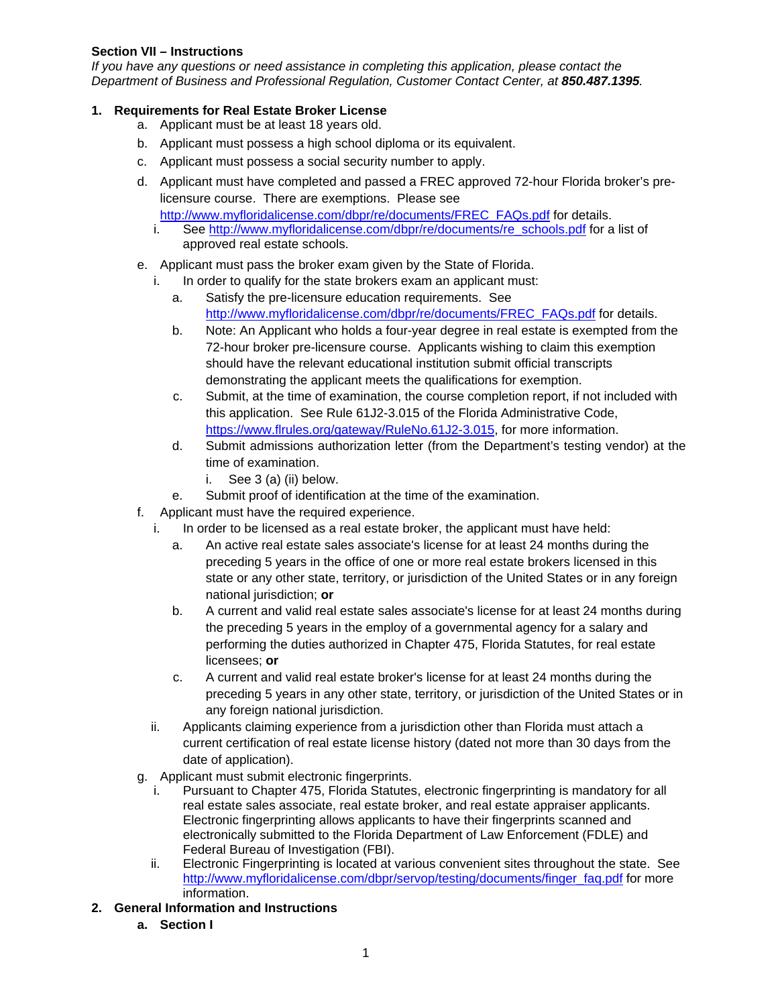#### **Section VII – Instructions**

*If you have any questions or need assistance in completing this application, please contact the Department of Business and Professional Regulation, Customer Contact Center, at 850.487.1395.*

## **1. Requirements for Real Estate Broker License**

- a. Applicant must be at least 18 years old.
- b. Applicant must possess a high school diploma or its equivalent.
- c. Applicant must possess a social security number to apply.
- d. Applicant must have completed and passed a FREC approved 72-hour Florida broker's prelicensure course. There are exemptions. Please see [http://www.myfloridalicense.com/dbpr/re/documents/FREC\\_FAQs.pdf](http://www.myfloridalicense.com/dbpr/re/documents/FREC_FAQs.pdf) for details.
	- i. See [http://www.myfloridalicense.com/dbpr/re/documents/re\\_schools.pdf](http://www.myfloridalicense.com/dbpr/re/documents/re_schools.pdf) for a list of approved real estate schools.
- e. Applicant must pass the broker exam given by the State of Florida.
	- In order to qualify for the state brokers exam an applicant must:
		- a. Satisfy the pre-licensure education requirements. See [http://www.myfloridalicense.com/dbpr/re/documents/FREC\\_FAQs.pdf](http://www.myfloridalicense.com/dbpr/re/documents/FREC_FAQs.pdf) for details.
		- b. Note: An Applicant who holds a four-year degree in real estate is exempted from the 72-hour broker pre-licensure course. Applicants wishing to claim this exemption should have the relevant educational institution submit official transcripts demonstrating the applicant meets the qualifications for exemption.
		- c. Submit, at the time of examination, the course completion report, if not included with this application. See Rule 61J2-3.015 of the Florida Administrative Code, [https://www.flrules.org/gateway/RuleNo.61J2-3.015](https://www.flrules.org/gateway/RuleNo.asp?title=MINIMUM%20EDUCATIONAL%20REQUIREMENTS&ID=61J2-3.015), for more information.
		- d. Submit admissions authorization letter (from the Department's testing vendor) at the time of examination.
			- i. See 3 (a) (ii) below.
		- e. Submit proof of identification at the time of the examination.
- f. Applicant must have the required experience.
	- i. In order to be licensed as a real estate broker, the applicant must have held:
		- a. An active real estate sales associate's license for at least 24 months during the preceding 5 years in the office of one or more real estate brokers licensed in this state or any other state, territory, or jurisdiction of the United States or in any foreign national jurisdiction; **or**
		- b. A current and valid real estate sales associate's license for at least 24 months during the preceding 5 years in the employ of a governmental agency for a salary and performing the duties authorized in Chapter 475, Florida Statutes, for real estate licensees; **or**
		- c. A current and valid real estate broker's license for at least 24 months during the preceding 5 years in any other state, territory, or jurisdiction of the United States or in any foreign national jurisdiction.
	- ii. Applicants claiming experience from a jurisdiction other than Florida must attach a current certification of real estate license history (dated not more than 30 days from the date of application).
- g. Applicant must submit electronic fingerprints.
	- Pursuant to Chapter 475, Florida Statutes, electronic fingerprinting is mandatory for all real estate sales associate, real estate broker, and real estate appraiser applicants. Electronic fingerprinting allows applicants to have their fingerprints scanned and electronically submitted to the Florida Department of Law Enforcement (FDLE) and Federal Bureau of Investigation (FBI).
	- ii. Electronic Fingerprinting is located at various convenient sites throughout the state. See [http://www.myfloridalicense.com/dbpr/servop/testing/documents/finger\\_faq.pdf](http://www.myfloridalicense.com/dbpr/servop/testing/documents/finger_faq.pdf) for more information.
- **2. General Information and Instructions** 
	- **a. Section I**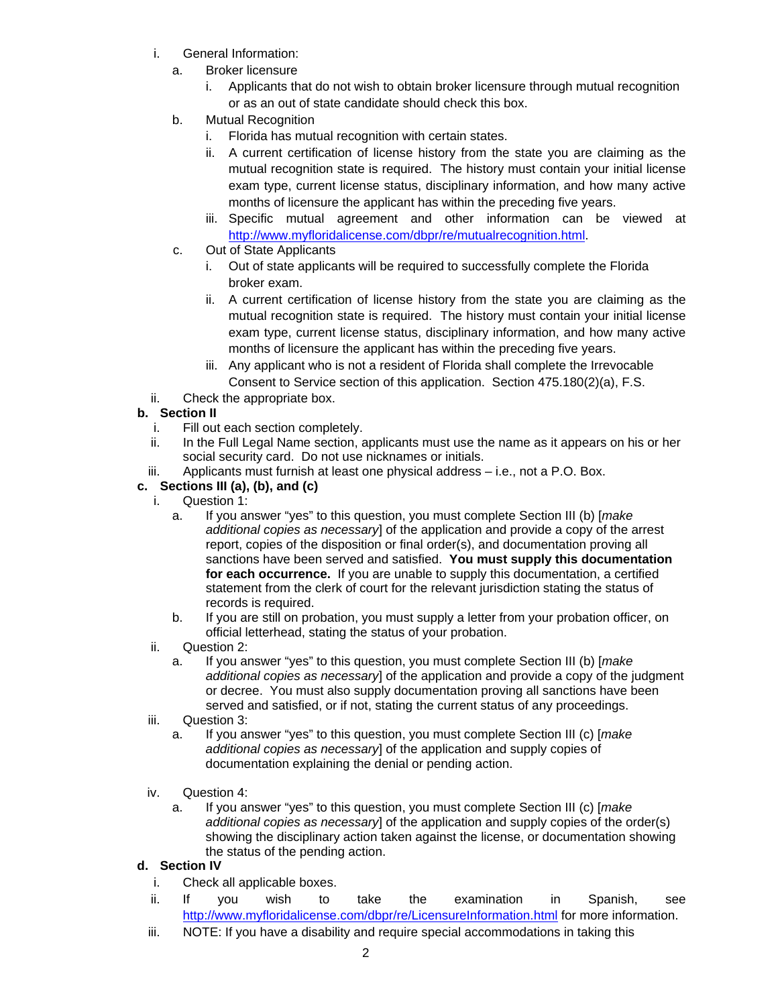- i. General Information:
	- a. Broker licensure
		- i. Applicants that do not wish to obtain broker licensure through mutual recognition or as an out of state candidate should check this box.
	- b. Mutual Recognition
		- i. Florida has mutual recognition with certain states.
		- ii. A current certification of license history from the state you are claiming as the mutual recognition state is required. The history must contain your initial license exam type, current license status, disciplinary information, and how many active months of licensure the applicant has within the preceding five years.
		- iii. Specific mutual agreement and other information can be viewed at [http://www.myfloridalicense.com/dbpr/re/mutualrecognition.html.](http://www.myfloridalicense.com/dbpr/re/mutualrecognition.html)
	- c. Out of State Applicants
		- i. Out of state applicants will be required to successfully complete the Florida broker exam.
		- ii. A current certification of license history from the state you are claiming as the mutual recognition state is required. The history must contain your initial license exam type, current license status, disciplinary information, and how many active months of licensure the applicant has within the preceding five years.
		- iii. Any applicant who is not a resident of Florida shall complete the Irrevocable Consent to Service section of this application. Section 475.180(2)(a), F.S.
- ii. Check the appropriate box.

# **b. Section II**

- i. Fill out each section completely.
- ii. In the Full Legal Name section, applicants must use the name as it appears on his or her social security card. Do not use nicknames or initials.
- iii. Applicants must furnish at least one physical address i.e., not a P.O. Box.
- **c. Sections III (a), (b), and (c)** 
	- i. Question 1:
		- a. If you answer "yes" to this question, you must complete Section III (b) [*make additional copies as necessary*] of the application and provide a copy of the arrest report, copies of the disposition or final order(s), and documentation proving all sanctions have been served and satisfied. **You must supply this documentation for each occurrence.** If you are unable to supply this documentation, a certified statement from the clerk of court for the relevant jurisdiction stating the status of records is required.
		- b. If you are still on probation, you must supply a letter from your probation officer, on official letterhead, stating the status of your probation.
	- ii. Question 2:
		- a. If you answer "yes" to this question, you must complete Section III (b) [*make additional copies as necessary*] of the application and provide a copy of the judgment or decree. You must also supply documentation proving all sanctions have been served and satisfied, or if not, stating the current status of any proceedings.
	- iii. Question 3:
		- a. If you answer "yes" to this question, you must complete Section III (c) [*make additional copies as necessary*] of the application and supply copies of documentation explaining the denial or pending action.
	- iv. Question 4:
		- a. If you answer "yes" to this question, you must complete Section III (c) [*make additional copies as necessary*] of the application and supply copies of the order(s) showing the disciplinary action taken against the license, or documentation showing the status of the pending action.

#### **d. Section IV**

- i. Check all applicable boxes.
- ii. If you wish to take the examination in Spanish, see <http://www.myfloridalicense.com/dbpr/re/LicensureInformation.html> for more information.
- iii. NOTE: If you have a disability and require special accommodations in taking this